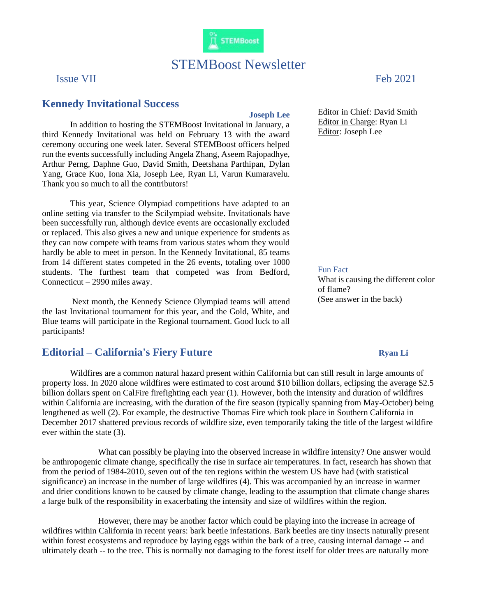

**IT STEMBoost** 

## **Kennedy Invitational Success**

**Joseph Lee**

In addition to hosting the STEMBoost Invitational in January, a third Kennedy Invitational was held on February 13 with the award ceremony occuring one week later. Several STEMBoost officers helped run the events successfully including Angela Zhang, Aseem Rajopadhye, Arthur Perng, Daphne Guo, David Smith, Deetshana Parthipan, Dylan Yang, Grace Kuo, Iona Xia, Joseph Lee, Ryan Li, Varun Kumaravelu. Thank you so much to all the contributors!

This year, Science Olympiad competitions have adapted to an online setting via transfer to the Scilympiad website. Invitationals have been successfully run, although device events are occasionally excluded or replaced. This also gives a new and unique experience for students as they can now compete with teams from various states whom they would hardly be able to meet in person. In the Kennedy Invitational, 85 teams from 14 different states competed in the 26 events, totaling over 1000 students. The furthest team that competed was from Bedford, Connecticut – 2990 miles away.

Next month, the Kennedy Science Olympiad teams will attend the last Invitational tournament for this year, and the Gold, White, and Blue teams will participate in the Regional tournament. Good luck to all participants!

## **Editorial** – **California's Fiery Future** *Ryan Li*

Wildfires are a common natural hazard present within California but can still result in large amounts of property loss. In 2020 alone wildfires were estimated to cost around \$10 billion dollars, eclipsing the average \$2.5 billion dollars spent on CalFire firefighting each year (1). However, both the intensity and duration of wildfires within California are increasing, with the duration of the fire season (typically spanning from May-October) being lengthened as well (2). For example, the destructive Thomas Fire which took place in Southern California in December 2017 shattered previous records of wildfire size, even temporarily taking the title of the largest wildfire ever within the state (3).

What can possibly be playing into the observed increase in wildfire intensity? One answer would be anthropogenic climate change, specifically the rise in surface air temperatures. In fact, research has shown that from the period of 1984-2010, seven out of the ten regions within the western US have had (with statistical significance) an increase in the number of large wildfires (4). This was accompanied by an increase in warmer and drier conditions known to be caused by climate change, leading to the assumption that climate change shares a large bulk of the responsibility in exacerbating the intensity and size of wildfires within the region.

However, there may be another factor which could be playing into the increase in acreage of wildfires within California in recent years: bark beetle infestations. Bark beetles are tiny insects naturally present within forest ecosystems and reproduce by laying eggs within the bark of a tree, causing internal damage -- and ultimately death -- to the tree. This is normally not damaging to the forest itself for older trees are naturally more

Issue VII Feb 2021

Editor in Chief: David Smith Editor in Charge: Ryan Li Editor: Joseph Lee

Fun Fact

What is causing the different color of flame? (See answer in the back)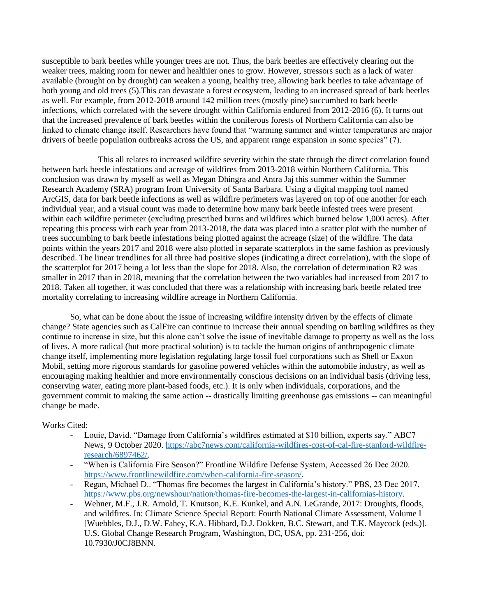susceptible to bark beetles while younger trees are not. Thus, the bark beetles are effectively clearing out the weaker trees, making room for newer and healthier ones to grow. However, stressors such as a lack of water available (brought on by drought) can weaken a young, healthy tree, allowing bark beetles to take advantage of both young and old trees (5).This can devastate a forest ecosystem, leading to an increased spread of bark beetles as well. For example, from 2012-2018 around 142 million trees (mostly pine) succumbed to bark beetle infections, which correlated with the severe drought within California endured from 2012-2016 (6). It turns out that the increased prevalence of bark beetles within the coniferous forests of Northern California can also be linked to climate change itself. Researchers have found that "warming summer and winter temperatures are major drivers of beetle population outbreaks across the US, and apparent range expansion in some species" (7).

This all relates to increased wildfire severity within the state through the direct correlation found between bark beetle infestations and acreage of wildfires from 2013-2018 within Northern California. This conclusion was drawn by myself as well as Megan Dhingra and Antra Jaj this summer within the Summer Research Academy (SRA) program from University of Santa Barbara. Using a digital mapping tool named ArcGIS, data for bark beetle infections as well as wildfire perimeters was layered on top of one another for each individual year, and a visual count was made to determine how many bark beetle infested trees were present within each wildfire perimeter (excluding prescribed burns and wildfires which burned below 1,000 acres). After repeating this process with each year from 2013-2018, the data was placed into a scatter plot with the number of trees succumbing to bark beetle infestations being plotted against the acreage (size) of the wildfire. The data points within the years 2017 and 2018 were also plotted in separate scatterplots in the same fashion as previously described. The linear trendlines for all three had positive slopes (indicating a direct correlation), with the slope of the scatterplot for 2017 being a lot less than the slope for 2018. Also, the correlation of determination R2 was smaller in 2017 than in 2018, meaning that the correlation between the two variables had increased from 2017 to 2018. Taken all together, it was concluded that there was a relationship with increasing bark beetle related tree mortality correlating to increasing wildfire acreage in Northern California.

So, what can be done about the issue of increasing wildfire intensity driven by the effects of climate change? State agencies such as CalFire can continue to increase their annual spending on battling wildfires as they continue to increase in size, but this alone can't solve the issue of inevitable damage to property as well as the loss of lives. A more radical (but more practical solution) is to tackle the human origins of anthropogenic climate change itself, implementing more legislation regulating large fossil fuel corporations such as Shell or Exxon Mobil, setting more rigorous standards for gasoline powered vehicles within the automobile industry, as well as encouraging making healthier and more environmentally conscious decisions on an individual basis (driving less, conserving water, eating more plant-based foods, etc.). It is only when individuals, corporations, and the government commit to making the same action -- drastically limiting greenhouse gas emissions -- can meaningful change be made.

## Works Cited:

- Louie, David. "Damage from California's wildfires estimated at \$10 billion, experts say." ABC7 News, 9 October 2020. [https://abc7news.com/california-wildfires-cost-of-cal-fire-stanford-wildfire](https://abc7news.com/california-wildfires-cost-of-cal-fire-stanford-wildfire-%20research/6897462/)[research/6897462/.](https://abc7news.com/california-wildfires-cost-of-cal-fire-stanford-wildfire-%20research/6897462/)
- "When is California Fire Season?" Frontline Wildfire Defense System, Accessed 26 Dec 2020. [https://www.frontlinewildfire.com/when-california-fire-season/.](https://www.frontlinewildfire.com/when-california-fire-season/)
- Regan, Michael D.. "Thomas fire becomes the largest in California's history." PBS, 23 Dec 2017. [https://www.pbs.org/newshour/nation/thomas-fire-becomes-the-largest-in-californias-history.](https://www.pbs.org/newshour/nation/thomas-fire-becomes-the-largest-in-californias-history)
- Wehner, M.F., J.R. Arnold, T. Knutson, K.E. Kunkel, and A.N. LeGrande, 2017: Droughts, floods, and wildfires. In: Climate Science Special Report: Fourth National Climate Assessment, Volume I [Wuebbles, D.J., D.W. Fahey, K.A. Hibbard, D.J. Dokken, B.C. Stewart, and T.K. Maycock (eds.)]. U.S. Global Change Research Program, Washington, DC, USA, pp. 231-256, doi: 10.7930/J0CJ8BNN.